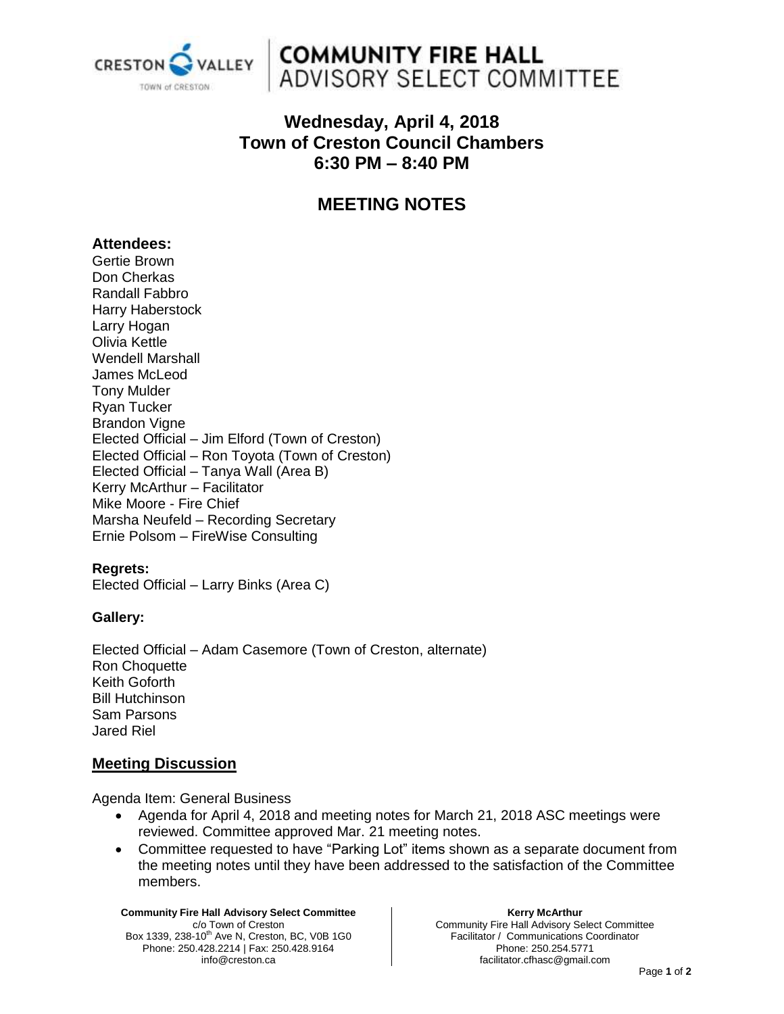

## **COMMUNITY FIRE HALL** ADVISORY SELECT COMMITTEE

## **Wednesday, April 4, 2018 Town of Creston Council Chambers 6:30 PM – 8:40 PM**

## **MEETING NOTES**

#### **Attendees:**

Gertie Brown Don Cherkas Randall Fabbro Harry Haberstock Larry Hogan Olivia Kettle Wendell Marshall James McLeod Tony Mulder Ryan Tucker Brandon Vigne Elected Official – Jim Elford (Town of Creston) Elected Official – Ron Toyota (Town of Creston) Elected Official – Tanya Wall (Area B) Kerry McArthur – Facilitator Mike Moore - Fire Chief Marsha Neufeld – Recording Secretary Ernie Polsom – FireWise Consulting

#### **Regrets:**

Elected Official – Larry Binks (Area C)

#### **Gallery:**

Elected Official – Adam Casemore (Town of Creston, alternate) Ron Choquette Keith Goforth Bill Hutchinson Sam Parsons Jared Riel

#### **Meeting Discussion**

Agenda Item: General Business

- Agenda for April 4, 2018 and meeting notes for March 21, 2018 ASC meetings were reviewed. Committee approved Mar. 21 meeting notes.
- Committee requested to have "Parking Lot" items shown as a separate document from the meeting notes until they have been addressed to the satisfaction of the Committee members.

**Community Fire Hall Advisory Select Committee** c/o Town of Creston Box 1339, 238-10<sup>th</sup> Ave N, Creston, BC, V0B 1G0 Phone: 250.428.2214 | Fax: 250.428.9164 info@creston.ca

**Kerry McArthur** Community Fire Hall Advisory Select Committee Facilitator / Communications Coordinator Phone: 250.254.5771 facilitator.cfhasc@gmail.com